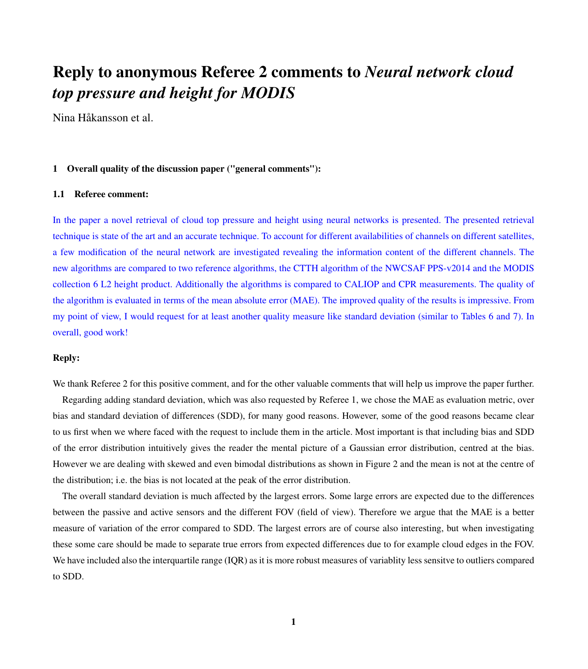# Reply to anonymous Referee 2 comments to *Neural network cloud top pressure and height for MODIS*

Nina Håkansson et al.

# 1 Overall quality of the discussion paper ("general comments"):

## 1.1 Referee comment:

In the paper a novel retrieval of cloud top pressure and height using neural networks is presented. The presented retrieval technique is state of the art and an accurate technique. To account for different availabilities of channels on different satellites, a few modification of the neural network are investigated revealing the information content of the different channels. The new algorithms are compared to two reference algorithms, the CTTH algorithm of the NWCSAF PPS-v2014 and the MODIS collection 6 L2 height product. Additionally the algorithms is compared to CALIOP and CPR measurements. The quality of the algorithm is evaluated in terms of the mean absolute error (MAE). The improved quality of the results is impressive. From my point of view, I would request for at least another quality measure like standard deviation (similar to Tables 6 and 7). In overall, good work!

# Reply:

We thank Referee 2 for this positive comment, and for the other valuable comments that will help us improve the paper further.

Regarding adding standard deviation, which was also requested by Referee 1, we chose the MAE as evaluation metric, over bias and standard deviation of differences (SDD), for many good reasons. However, some of the good reasons became clear to us first when we where faced with the request to include them in the article. Most important is that including bias and SDD of the error distribution intuitively gives the reader the mental picture of a Gaussian error distribution, centred at the bias. However we are dealing with skewed and even bimodal distributions as shown in Figure 2 and the mean is not at the centre of the distribution; i.e. the bias is not located at the peak of the error distribution.

The overall standard deviation is much affected by the largest errors. Some large errors are expected due to the differences between the passive and active sensors and the different FOV (field of view). Therefore we argue that the MAE is a better measure of variation of the error compared to SDD. The largest errors are of course also interesting, but when investigating these some care should be made to separate true errors from expected differences due to for example cloud edges in the FOV. We have included also the interquartile range (IQR) as it is more robust measures of variablity less sensitve to outliers compared to SDD.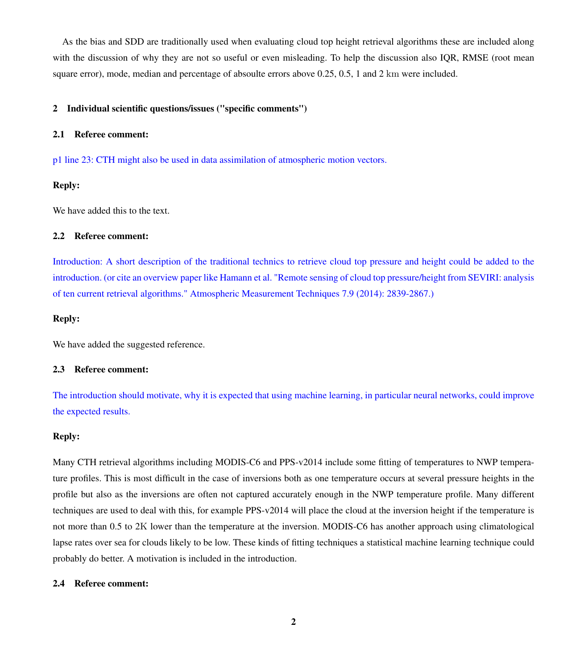As the bias and SDD are traditionally used when evaluating cloud top height retrieval algorithms these are included along with the discussion of why they are not so useful or even misleading. To help the discussion also IQR, RMSE (root mean square error), mode, median and percentage of absoulte errors above 0.25, 0.5, 1 and 2 km were included.

## 2 Individual scientific questions/issues ("specific comments")

#### 2.1 Referee comment:

p1 line 23: CTH might also be used in data assimilation of atmospheric motion vectors.

## Reply:

We have added this to the text.

#### 2.2 Referee comment:

Introduction: A short description of the traditional technics to retrieve cloud top pressure and height could be added to the introduction. (or cite an overview paper like Hamann et al. "Remote sensing of cloud top pressure/height from SEVIRI: analysis of ten current retrieval algorithms." Atmospheric Measurement Techniques 7.9 (2014): 2839-2867.)

## Reply:

We have added the suggested reference.

## 2.3 Referee comment:

The introduction should motivate, why it is expected that using machine learning, in particular neural networks, could improve the expected results.

## Reply:

Many CTH retrieval algorithms including MODIS-C6 and PPS-v2014 include some fitting of temperatures to NWP temperature profiles. This is most difficult in the case of inversions both as one temperature occurs at several pressure heights in the profile but also as the inversions are often not captured accurately enough in the NWP temperature profile. Many different techniques are used to deal with this, for example PPS-v2014 will place the cloud at the inversion height if the temperature is not more than 0.5 to 2K lower than the temperature at the inversion. MODIS-C6 has another approach using climatological lapse rates over sea for clouds likely to be low. These kinds of fitting techniques a statistical machine learning technique could probably do better. A motivation is included in the introduction.

#### 2.4 Referee comment: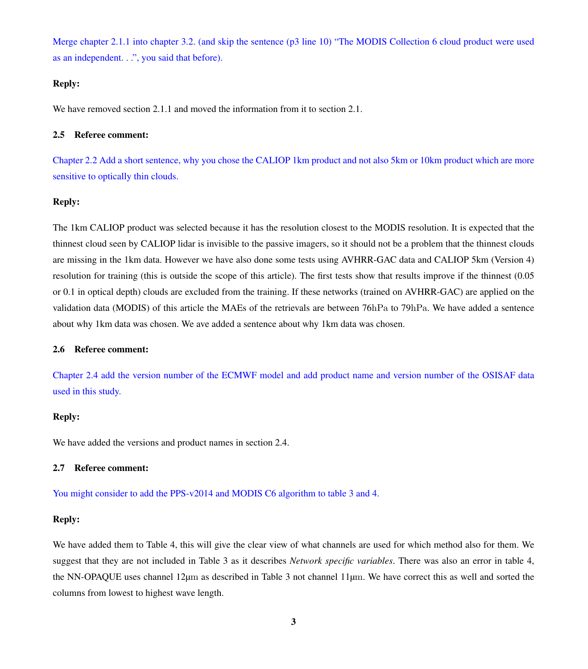Merge chapter 2.1.1 into chapter 3.2. (and skip the sentence (p3 line 10) "The MODIS Collection 6 cloud product were used as an independent. . .", you said that before).

## Reply:

We have removed section 2.1.1 and moved the information from it to section 2.1.

#### 2.5 Referee comment:

Chapter 2.2 Add a short sentence, why you chose the CALIOP 1km product and not also 5km or 10km product which are more sensitive to optically thin clouds.

# Reply:

The 1km CALIOP product was selected because it has the resolution closest to the MODIS resolution. It is expected that the thinnest cloud seen by CALIOP lidar is invisible to the passive imagers, so it should not be a problem that the thinnest clouds are missing in the 1km data. However we have also done some tests using AVHRR-GAC data and CALIOP 5km (Version 4) resolution for training (this is outside the scope of this article). The first tests show that results improve if the thinnest (0.05 or 0.1 in optical depth) clouds are excluded from the training. If these networks (trained on AVHRR-GAC) are applied on the validation data (MODIS) of this article the MAEs of the retrievals are between 76hPa to 79hPa. We have added a sentence about why 1km data was chosen. We ave added a sentence about why 1km data was chosen.

## 2.6 Referee comment:

Chapter 2.4 add the version number of the ECMWF model and add product name and version number of the OSISAF data used in this study.

## Reply:

We have added the versions and product names in section 2.4.

## 2.7 Referee comment:

You might consider to add the PPS-v2014 and MODIS C6 algorithm to table 3 and 4.

## Reply:

We have added them to Table 4, this will give the clear view of what channels are used for which method also for them. We suggest that they are not included in Table 3 as it describes *Network specific variables*. There was also an error in table 4, the NN-OPAQUE uses channel 12µm as described in Table 3 not channel 11µm. We have correct this as well and sorted the columns from lowest to highest wave length.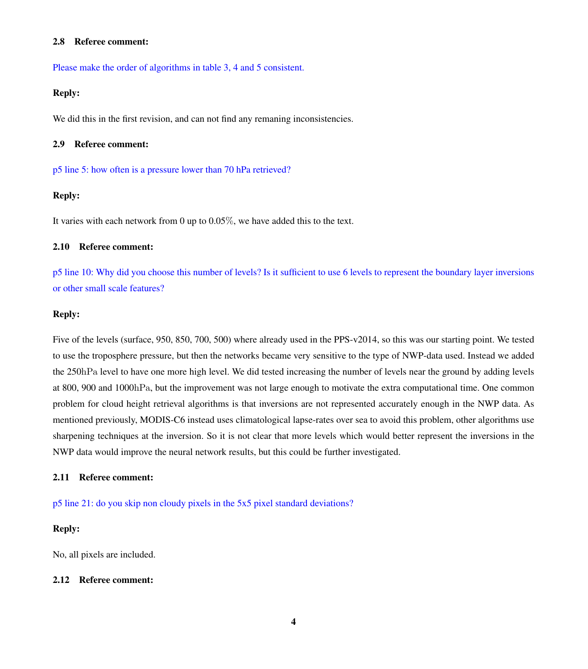#### 2.8 Referee comment:

Please make the order of algorithms in table 3, 4 and 5 consistent.

## Reply:

We did this in the first revision, and can not find any remaning inconsistencies.

## 2.9 Referee comment:

p5 line 5: how often is a pressure lower than 70 hPa retrieved?

# Reply:

It varies with each network from 0 up to 0.05%, we have added this to the text.

## 2.10 Referee comment:

p5 line 10: Why did you choose this number of levels? Is it sufficient to use 6 levels to represent the boundary layer inversions or other small scale features?

#### Reply:

Five of the levels (surface, 950, 850, 700, 500) where already used in the PPS-v2014, so this was our starting point. We tested to use the troposphere pressure, but then the networks became very sensitive to the type of NWP-data used. Instead we added the 250hPa level to have one more high level. We did tested increasing the number of levels near the ground by adding levels at 800, 900 and 1000hPa, but the improvement was not large enough to motivate the extra computational time. One common problem for cloud height retrieval algorithms is that inversions are not represented accurately enough in the NWP data. As mentioned previously, MODIS-C6 instead uses climatological lapse-rates over sea to avoid this problem, other algorithms use sharpening techniques at the inversion. So it is not clear that more levels which would better represent the inversions in the NWP data would improve the neural network results, but this could be further investigated.

## 2.11 Referee comment:

p5 line 21: do you skip non cloudy pixels in the 5x5 pixel standard deviations?

# Reply:

No, all pixels are included.

#### 2.12 Referee comment: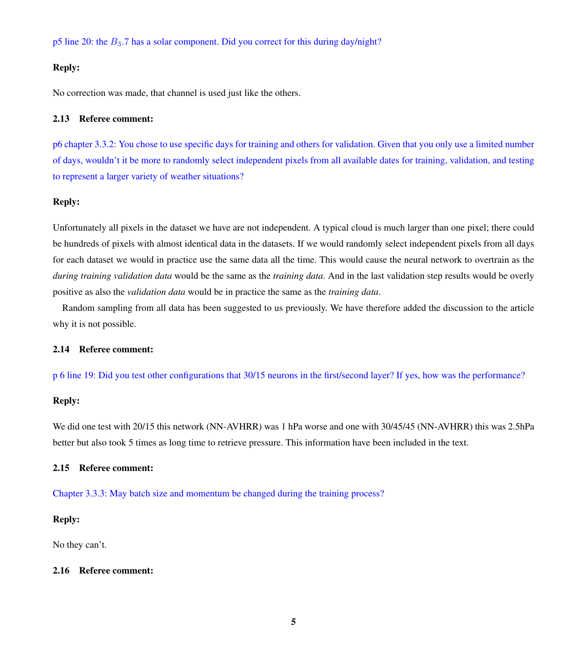p5 line 20: the  $B_3$ .7 has a solar component. Did you correct for this during day/night?

## Reply:

No correction was made, that channel is used just like the others.

#### 2.13 Referee comment:

p6 chapter 3.3.2: You chose to use specific days for training and others for validation. Given that you only use a limited number of days, wouldn't it be more to randomly select independent pixels from all available dates for training, validation, and testing to represent a larger variety of weather situations?

# Reply:

Unfortunately all pixels in the dataset we have are not independent. A typical cloud is much larger than one pixel; there could be hundreds of pixels with almost identical data in the datasets. If we would randomly select independent pixels from all days for each dataset we would in practice use the same data all the time. This would cause the neural network to overtrain as the *during training validation data* would be the same as the *training data*. And in the last validation step results would be overly positive as also the *validation data* would be in practice the same as the *training data*.

Random sampling from all data has been suggested to us previously. We have therefore added the discussion to the article why it is not possible.

#### 2.14 Referee comment:

p 6 line 19: Did you test other configurations that 30/15 neurons in the first/second layer? If yes, how was the performance?

#### Reply:

We did one test with 20/15 this network (NN-AVHRR) was 1 hPa worse and one with 30/45/45 (NN-AVHRR) this was 2.5hPa better but also took 5 times as long time to retrieve pressure. This information have been included in the text.

#### 2.15 Referee comment:

Chapter 3.3.3: May batch size and momentum be changed during the training process?

## Reply:

No they can't.

#### 2.16 Referee comment: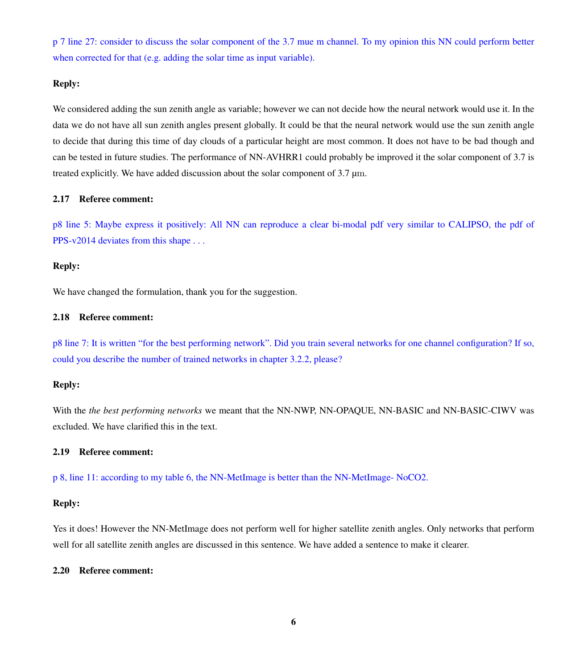p 7 line 27: consider to discuss the solar component of the 3.7 mue m channel. To my opinion this NN could perform better when corrected for that (e.g. adding the solar time as input variable).

#### Reply:

We considered adding the sun zenith angle as variable; however we can not decide how the neural network would use it. In the data we do not have all sun zenith angles present globally. It could be that the neural network would use the sun zenith angle to decide that during this time of day clouds of a particular height are most common. It does not have to be bad though and can be tested in future studies. The performance of NN-AVHRR1 could probably be improved it the solar component of 3.7 is treated explicitly. We have added discussion about the solar component of  $3.7 \mu m$ .

#### 2.17 Referee comment:

p8 line 5: Maybe express it positively: All NN can reproduce a clear bi-modal pdf very similar to CALIPSO, the pdf of PPS-v2014 deviates from this shape . . .

#### Reply:

We have changed the formulation, thank you for the suggestion.

#### 2.18 Referee comment:

p8 line 7: It is written "for the best performing network". Did you train several networks for one channel configuration? If so, could you describe the number of trained networks in chapter 3.2.2, please?

#### Reply:

With the *the best performing networks* we meant that the NN-NWP, NN-OPAQUE, NN-BASIC and NN-BASIC-CIWV was excluded. We have clarified this in the text.

## 2.19 Referee comment:

p 8, line 11: according to my table 6, the NN-MetImage is better than the NN-MetImage- NoCO2.

#### Reply:

Yes it does! However the NN-MetImage does not perform well for higher satellite zenith angles. Only networks that perform well for all satellite zenith angles are discussed in this sentence. We have added a sentence to make it clearer.

#### 2.20 Referee comment: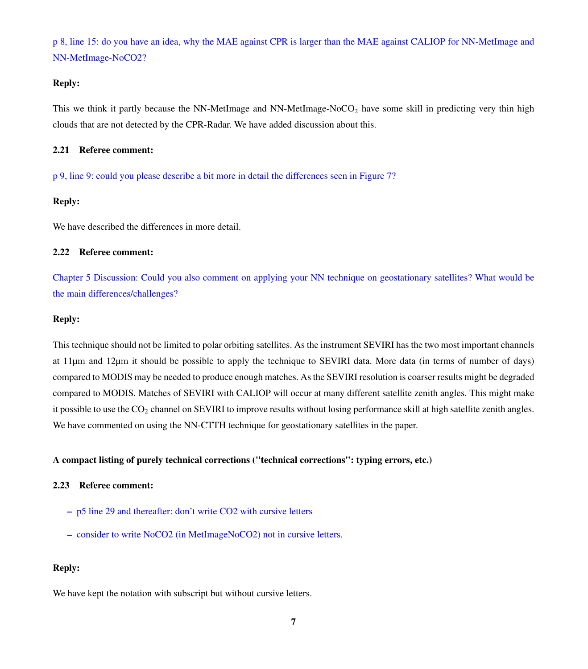p 8, line 15: do you have an idea, why the MAE against CPR is larger than the MAE against CALIOP for NN-MetImage and NN-MetImage-NoCO2?

## Reply:

This we think it partly because the NN-MetImage and NN-MetImage-NoCO<sub>2</sub> have some skill in predicting very thin high clouds that are not detected by the CPR-Radar. We have added discussion about this.

## 2.21 Referee comment:

p 9, line 9: could you please describe a bit more in detail the differences seen in Figure 7?

## Reply:

We have described the differences in more detail.

## 2.22 Referee comment:

Chapter 5 Discussion: Could you also comment on applying your NN technique on geostationary satellites? What would be the main differences/challenges?

## Reply:

This technique should not be limited to polar orbiting satellites. As the instrument SEVIRI has the two most important channels at 11µm and 12µm it should be possible to apply the technique to SEVIRI data. More data (in terms of number of days) compared to MODIS may be needed to produce enough matches. As the SEVIRI resolution is coarser results might be degraded compared to MODIS. Matches of SEVIRI with CALIOP will occur at many different satellite zenith angles. This might make it possible to use the  $CO<sub>2</sub>$  channel on SEVIRI to improve results without losing performance skill at high satellite zenith angles. We have commented on using the NN-CTTH technique for geostationary satellites in the paper.

## A compact listing of purely technical corrections ("technical corrections": typing errors, etc.)

#### 2.23 Referee comment:

- p5 line 29 and thereafter: don't write CO2 with cursive letters
- consider to write NoCO2 (in MetImageNoCO2) not in cursive letters.

## Reply:

We have kept the notation with subscript but without cursive letters.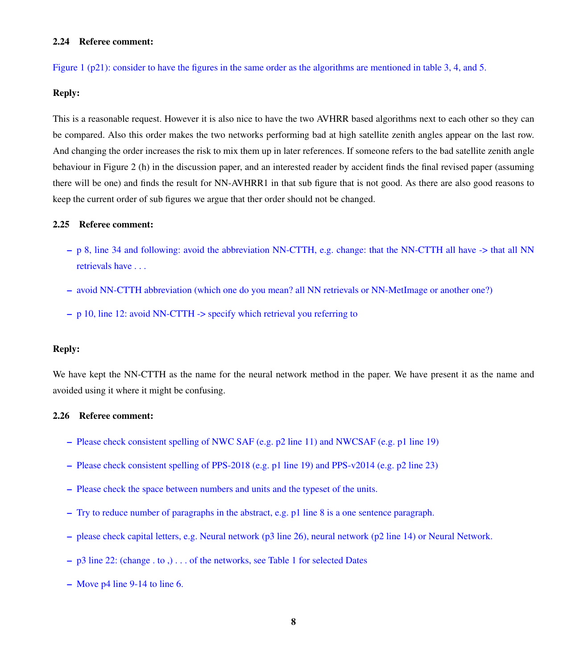#### 2.24 Referee comment:

Figure 1 (p21): consider to have the figures in the same order as the algorithms are mentioned in table 3, 4, and 5.

# Reply:

This is a reasonable request. However it is also nice to have the two AVHRR based algorithms next to each other so they can be compared. Also this order makes the two networks performing bad at high satellite zenith angles appear on the last row. And changing the order increases the risk to mix them up in later references. If someone refers to the bad satellite zenith angle behaviour in Figure 2 (h) in the discussion paper, and an interested reader by accident finds the final revised paper (assuming there will be one) and finds the result for NN-AVHRR1 in that sub figure that is not good. As there are also good reasons to keep the current order of sub figures we argue that ther order should not be changed.

## 2.25 Referee comment:

- p 8, line 34 and following: avoid the abbreviation NN-CTTH, e.g. change: that the NN-CTTH all have -> that all NN retrievals have . . .
- avoid NN-CTTH abbreviation (which one do you mean? all NN retrievals or NN-MetImage or another one?)
- p 10, line 12: avoid NN-CTTH -> specify which retrieval you referring to

#### Reply:

We have kept the NN-CTTH as the name for the neural network method in the paper. We have present it as the name and avoided using it where it might be confusing.

## 2.26 Referee comment:

- Please check consistent spelling of NWC SAF (e.g. p2 line 11) and NWCSAF (e.g. p1 line 19)
- Please check consistent spelling of PPS-2018 (e.g. p1 line 19) and PPS-v2014 (e.g. p2 line 23)
- Please check the space between numbers and units and the typeset of the units.
- Try to reduce number of paragraphs in the abstract, e.g. p1 line 8 is a one sentence paragraph.
- please check capital letters, e.g. Neural network (p3 line 26), neural network (p2 line 14) or Neural Network.
- p3 line 22: (change . to ,) . . . of the networks, see Table 1 for selected Dates
- Move p4 line 9-14 to line 6.